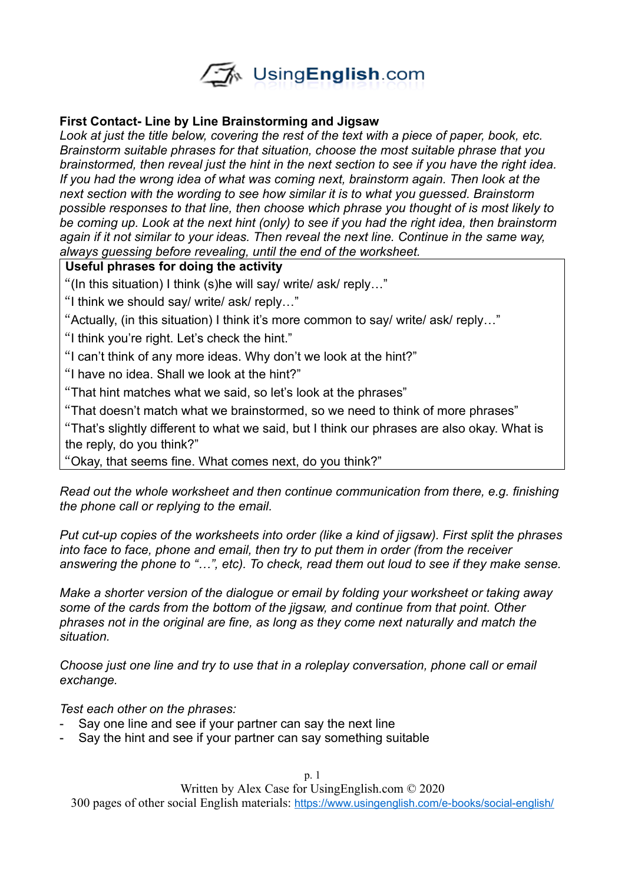

#### **First Contact- Line by Line Brainstorming and Jigsaw**

*Look at just the title below, covering the rest of the text with a piece of paper, book, etc. Brainstorm suitable phrases for that situation, choose the most suitable phrase that you brainstormed, then reveal just the hint in the next section to see if you have the right idea. If you had the wrong idea of what was coming next, brainstorm again. Then look at the next section with the wording to see how similar it is to what you guessed. Brainstorm possible responses to that line, then choose which phrase you thought of is most likely to be coming up. Look at the next hint (only) to see if you had the right idea, then brainstorm again if it not similar to your ideas. Then reveal the next line. Continue in the same way, always guessing before revealing, until the end of the worksheet.* 

#### **Useful phrases for doing the activity**

"(In this situation) I think (s)he will say/ write/ ask/ reply…"

"I think we should say/ write/ ask/ reply…"

"Actually, (in this situation) I think it's more common to say/ write/ ask/ reply…"

"I think you're right. Let's check the hint."

"I can't think of any more ideas. Why don't we look at the hint?"

"I have no idea. Shall we look at the hint?"

"That hint matches what we said, so let's look at the phrases"

"That doesn't match what we brainstormed, so we need to think of more phrases"

"That's slightly different to what we said, but I think our phrases are also okay. What is the reply, do you think?"

"Okay, that seems fine. What comes next, do you think?"

*Read out the whole worksheet and then continue communication from there, e.g. finishing the phone call or replying to the email.* 

*Put cut-up copies of the worksheets into order (like a kind of jigsaw). First split the phrases into face to face, phone and email, then try to put them in order (from the receiver answering the phone to "…", etc). To check, read them out loud to see if they make sense.* 

*Make a shorter version of the dialogue or email by folding your worksheet or taking away some of the cards from the bottom of the jigsaw, and continue from that point. Other phrases not in the original are fine, as long as they come next naturally and match the situation.* 

*Choose just one line and try to use that in a roleplay conversation, phone call or email exchange.*

*Test each other on the phrases:*

- Say one line and see if your partner can say the next line
- Say the hint and see if your partner can say something suitable

p. 1

Written by Alex Case for UsingEnglish.com © 2020

300 pages of other social English materials: <https://www.usingenglish.com/e-books/social-english/>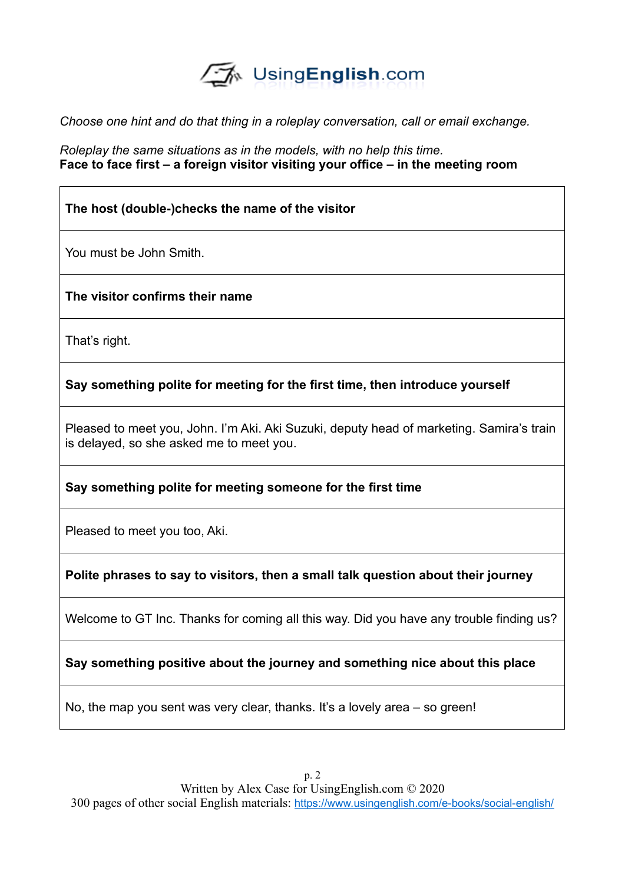

*Choose one hint and do that thing in a roleplay conversation, call or email exchange.* 

*Roleplay the same situations as in the models, with no help this time.*  **Face to face first – a foreign visitor visiting your office – in the meeting room**

# **The host (double-)checks the name of the visitor**

You must be John Smith.

**The visitor confirms their name**

That's right.

**Say something polite for meeting for the first time, then introduce yourself**

Pleased to meet you, John. I'm Aki. Aki Suzuki, deputy head of marketing. Samira's train is delayed, so she asked me to meet you.

**Say something polite for meeting someone for the first time**

Pleased to meet you too, Aki.

**Polite phrases to say to visitors, then a small talk question about their journey**

Welcome to GT Inc. Thanks for coming all this way. Did you have any trouble finding us?

**Say something positive about the journey and something nice about this place**

No, the map you sent was very clear, thanks. It's a lovely area – so green!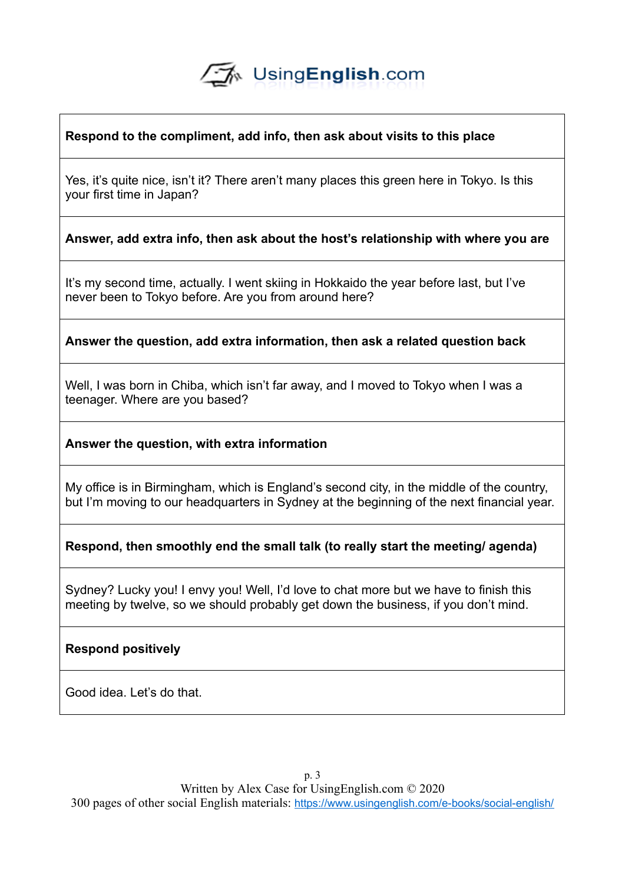# √A UsingEnglish.com

### **Respond to the compliment, add info, then ask about visits to this place**

Yes, it's quite nice, isn't it? There aren't many places this green here in Tokyo. Is this your first time in Japan?

**Answer, add extra info, then ask about the host's relationship with where you are**

It's my second time, actually. I went skiing in Hokkaido the year before last, but I've never been to Tokyo before. Are you from around here?

**Answer the question, add extra information, then ask a related question back**

Well, I was born in Chiba, which isn't far away, and I moved to Tokyo when I was a teenager. Where are you based?

**Answer the question, with extra information**

My office is in Birmingham, which is England's second city, in the middle of the country, but I'm moving to our headquarters in Sydney at the beginning of the next financial year.

**Respond, then smoothly end the small talk (to really start the meeting/ agenda)**

Sydney? Lucky you! I envy you! Well, I'd love to chat more but we have to finish this meeting by twelve, so we should probably get down the business, if you don't mind.

# **Respond positively**

Good idea. Let's do that.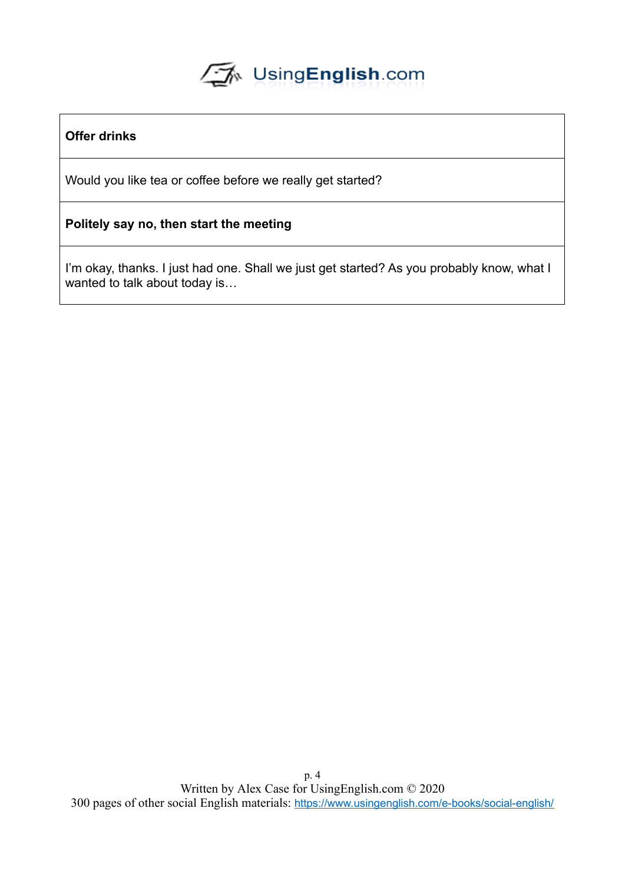# UsingEnglish.com

# **Offer drinks**

Would you like tea or coffee before we really get started?

#### **Politely say no, then start the meeting**

I'm okay, thanks. I just had one. Shall we just get started? As you probably know, what I wanted to talk about today is...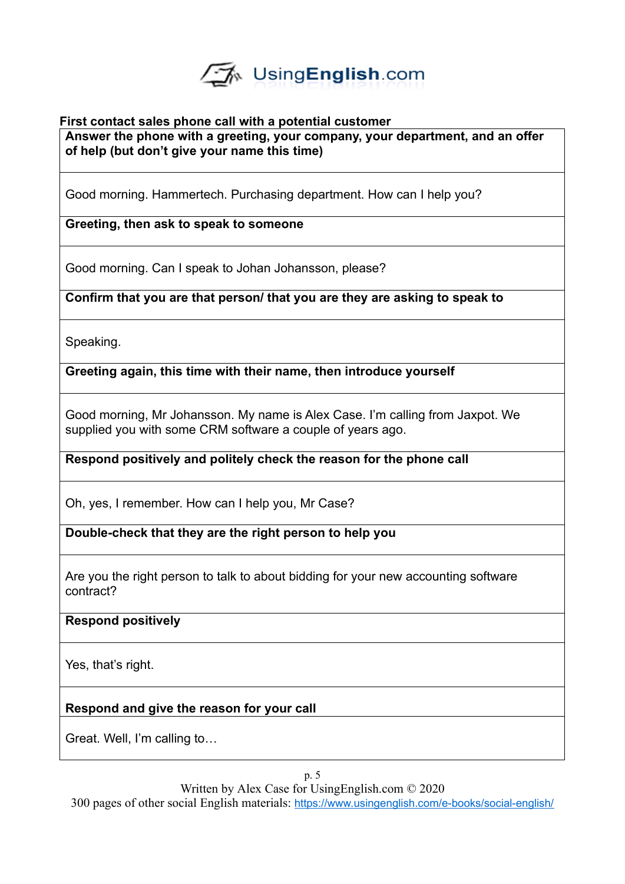

#### **First contact sales phone call with a potential customer Answer the phone with a greeting, your company, your department, and an offer of help (but don't give your name this time)**

Good morning. Hammertech. Purchasing department. How can I help you?

**Greeting, then ask to speak to someone**

Good morning. Can I speak to Johan Johansson, please?

**Confirm that you are that person/ that you are they are asking to speak to**

Speaking.

**Greeting again, this time with their name, then introduce yourself**

Good morning, Mr Johansson. My name is Alex Case. I'm calling from Jaxpot. We supplied you with some CRM software a couple of years ago.

**Respond positively and politely check the reason for the phone call**

Oh, yes, I remember. How can I help you, Mr Case?

**Double-check that they are the right person to help you**

Are you the right person to talk to about bidding for your new accounting software contract?

**Respond positively**

Yes, that's right.

**Respond and give the reason for your call**

Great. Well, I'm calling to…

Written by Alex Case for UsingEnglish.com © 2020

300 pages of other social English materials: <https://www.usingenglish.com/e-books/social-english/>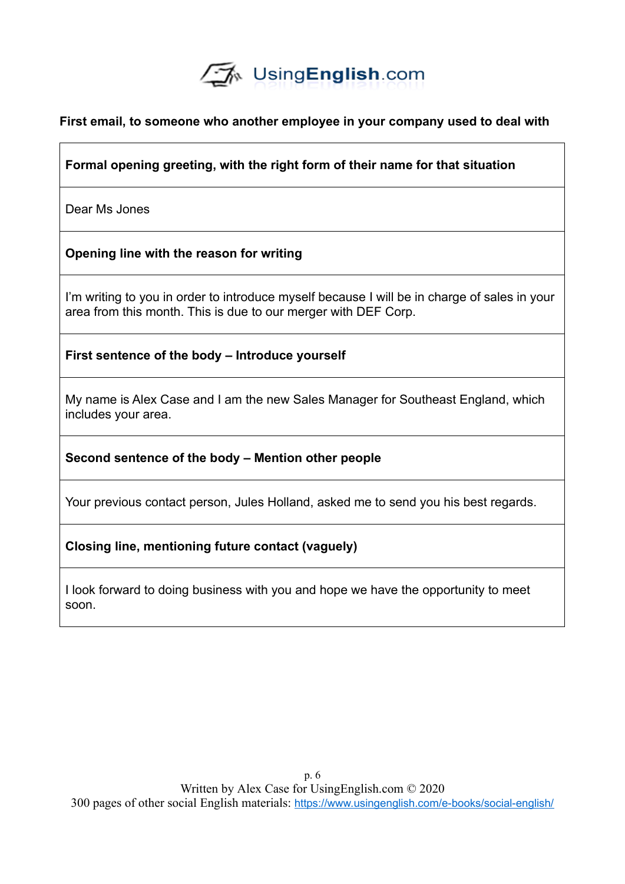

#### **First email, to someone who another employee in your company used to deal with**

### **Formal opening greeting, with the right form of their name for that situation**

Dear Ms Jones

#### **Opening line with the reason for writing**

I'm writing to you in order to introduce myself because I will be in charge of sales in your area from this month. This is due to our merger with DEF Corp.

**First sentence of the body – Introduce yourself**

My name is Alex Case and I am the new Sales Manager for Southeast England, which includes your area.

**Second sentence of the body – Mention other people**

Your previous contact person, Jules Holland, asked me to send you his best regards.

#### **Closing line, mentioning future contact (vaguely)**

I look forward to doing business with you and hope we have the opportunity to meet soon.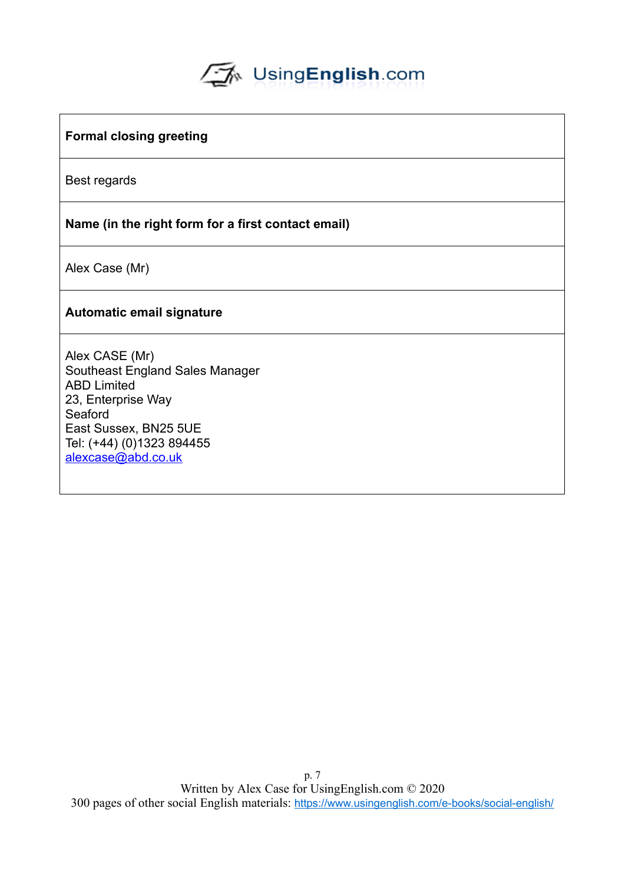# UsingEnglish.com

#### **Formal closing greeting**

Best regards

#### **Name (in the right form for a first contact email)**

Alex Case (Mr)

#### **Automatic email signature**

Alex CASE (Mr) Southeast England Sales Manager ABD Limited 23, Enterprise Way **Seaford** East Sussex, BN25 5UE Tel: (+44) (0)1323 894455 [alexcase@abd.co.uk](mailto:alexcase@abd.co.uk)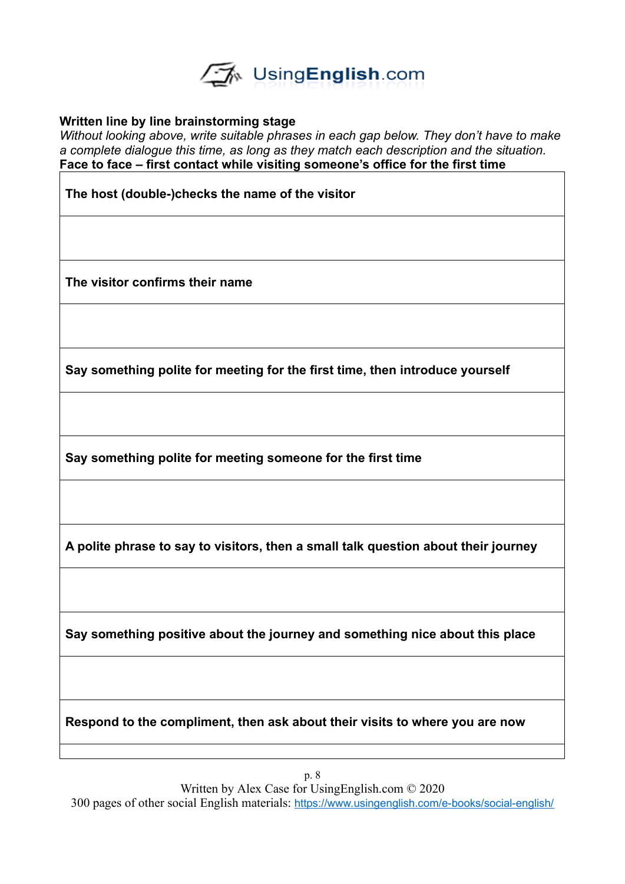

#### **Written line by line brainstorming stage**

*Without looking above, write suitable phrases in each gap below. They don't have to make a complete dialogue this time, as long as they match each description and the situation.*  **Face to face – first contact while visiting someone's office for the first time**

**The host (double-)checks the name of the visitor**

**The visitor confirms their name**

**Say something polite for meeting for the first time, then introduce yourself**

**Say something polite for meeting someone for the first time**

**A polite phrase to say to visitors, then a small talk question about their journey**

**Say something positive about the journey and something nice about this place**

**Respond to the compliment, then ask about their visits to where you are now**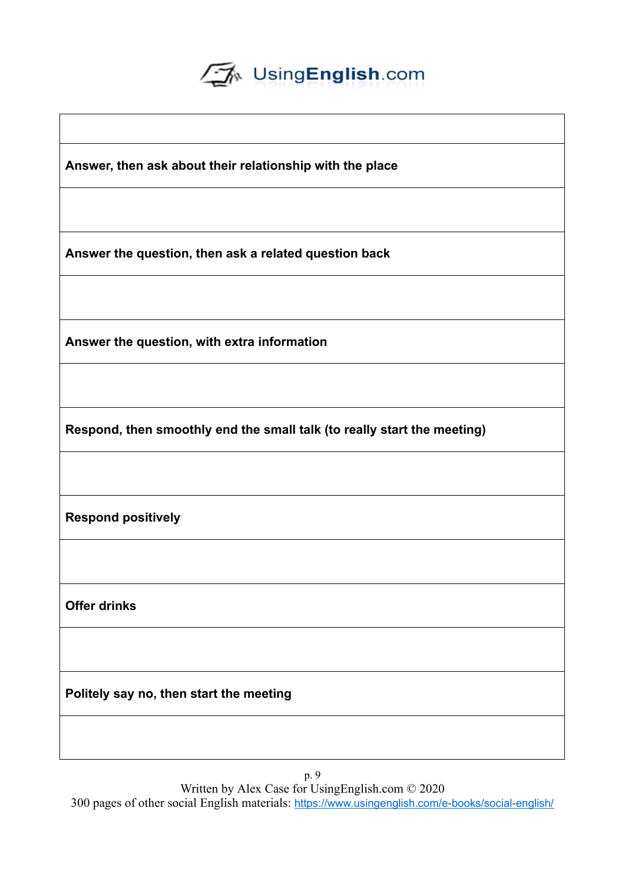

**Answer, then ask about their relationship with the place**

**Answer the question, then ask a related question back**

**Answer the question, with extra information**

**Respond, then smoothly end the small talk (to really start the meeting)**

**Respond positively**

**Offer drinks**

**Politely say no, then start the meeting**

p. 9 Written by Alex Case for UsingEnglish.com © 2020

300 pages of other social English materials: <https://www.usingenglish.com/e-books/social-english/>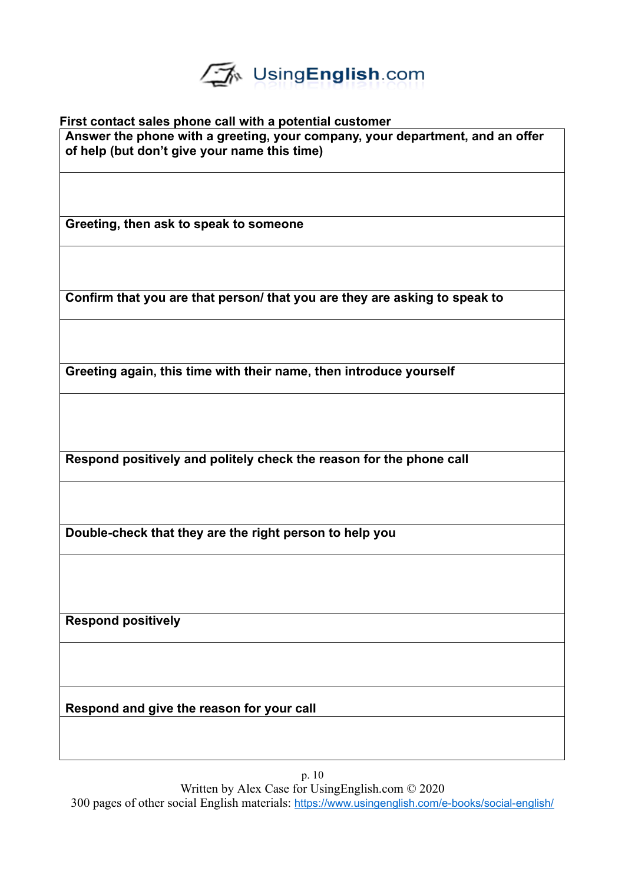

**First contact sales phone call with a potential customer Answer the phone with a greeting, your company, your department, and an offer of help (but don't give your name this time)**

**Greeting, then ask to speak to someone**

**Confirm that you are that person/ that you are they are asking to speak to**

**Greeting again, this time with their name, then introduce yourself**

**Respond positively and politely check the reason for the phone call**

**Double-check that they are the right person to help you**

**Respond positively**

**Respond and give the reason for your call**

p. 10 Written by Alex Case for UsingEnglish.com © 2020 300 pages of other social English materials: <https://www.usingenglish.com/e-books/social-english/>